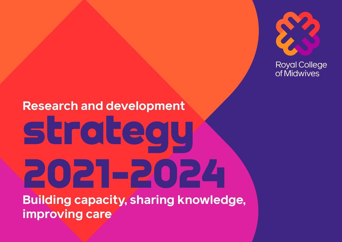

**Royal College** of Midwives

### **Research and development**  strategy 2021-2024 **Building capacity, sharing knowledge, improving care**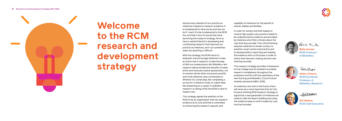

**Welcome to the RCM research and development strategy**



Almost every element of our practice as midwives is based on research evidence. It is fundamental to what we do and how we do it. I want it to be fundamental to the RCM too, and that is why I'm proud that we're launching this research strategy. All of us have a vested interest in developing and contributing research that improves our practice as midwives, yet it can sometimes seem too daunting or difficult.

With this strategy, the RCM wants to empower and encourage midwives to take an active role in research, to take the leap of faith our predecessors did. Midwifery-led research demonstrated the benefits of water births and removed routine episiotomies, not to mention all the other social and scientific work that midwives have contributed to. Whether it's a small step, like completing a survey for a research study, or a giant leap, like embarking on a career in midwifery research, or doing a PhD, the RCM is here to support you.

This strategy signals the ambition of the RCM to be an organisation that has research evidence at its core and that is committed to enhancing the research capacity and

capability of midwives for the benefit of women, babies and families.

In order for women and their babies to receive high quality care, practice needs to be underpinned by evidence and provided by midwives who think critically about the care that they provide. This critical thinking requires midwives to remain curious, to question usual custom and practice and to develop skills in searching and reading the evidence with a critical eye, in order to inform their decision-making and the care that they provide.

This research strategy provides a framework for the College and its members to embed research-mindedness throughout the profession and fits with the aspirations of the new Nursing and Midwifery Council future midwife standards (NMC, 2019).

As midwives now look to the future, there will never be a more important time for this forward-thinking RCM research strategy to signal that a new generation of midwives are ready to take the lead in building and using the evidence base on which maternity care must be founded.



Kinè the Vo.

**Gill Walton** RCM Chief Executive

**Billie Hunter** RCM Professor of Midwifery



Hele Charge

**Helen Cheyne** RCM (Scotland) Professor of Midwifery Research



GWalton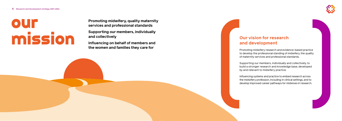**Promoting midwifery, quality maternity services and professional standards**

**Supporting our members, individually and collectively**

**Influencing on behalf of members and the women and families they care for**



#### **Our vision for research and development**

Promoting midwifery research and evidence-based practice to develop the professional standing of midwifery, the quality of maternity services and professional standards.

Supporting our members, individually and collectively, to build a stronger research and knowledge base, developed by and relevant to midwifery practice.

Influencing systems and practice to embed research across the midwifery profession, including in clinical settings, and to develop improved career pathways for midwives in research.

# Our Missi o n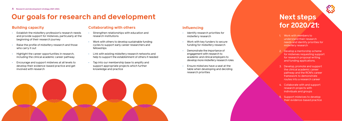### **Our goals for research and development Next steps**

#### **Influencing**

- Identify research priorities for midwifery research
- Work with key funders to secure funding for midwifery research
- Demonstrate the importance of engagement with research to academic and clinical employers to develop more midwifery research roles
- Ensure midwives have a seat at the table when developing and deciding research priorities

#### **Building capacity**

- Establish the midwifery profession's research needs and provide support for midwives, particularly at the beginning of their research journey
- Raise the profile of midwifery research and those who carry it out
- Highlight the career opportunities in research, including the clinical academic career pathway
- Encourage and support midwives at all levels to develop their evidence-based practice and get involved with research

#### **Collaborating with others**

- Strengthen relationships with education and research institutions
- Work with others to develop sustainable funding cycles to support early career researchers and fellowships
- Link with existing midwifery research networks and help to support the establishment of others if needed
- Tap into our membership base to amplify and support appropriate projects which further knowledge and practice





# **for 2020/21:**

- 1. Work with members to understand their research needs and identify priorities for midwifery research
- 2. Develop a mentorship scheme for midwives requesting support for research proposal writing and funding applications.
- 3. Develop, promote and support the clinical academic career pathway and the RCM's career framework to demonstrate routes into a research career
- 4. Collaborate with and support research projects with individuals and groups
- 5. Support midwives to develop their evidence-based practice